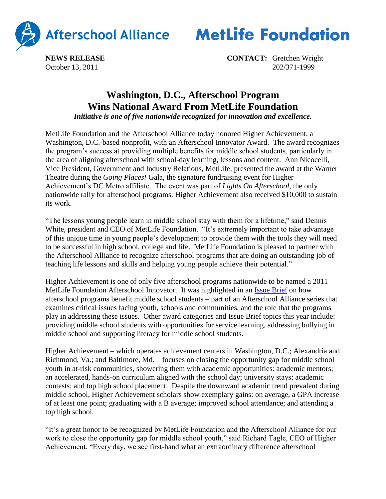

**MetLife Foundation** 

**NEWS RELEASE CONTACT:** Gretchen Wright October 13, 2011 202/371-1999

## **Washington, D.C., Afterschool Program Wins National Award From MetLife Foundation**

*Initiative is one of five nationwide recognized for innovation and excellence.*

MetLife Foundation and the Afterschool Alliance today honored Higher Achievement, a Washington, D.C.-based nonprofit, with an Afterschool Innovator Award. The award recognizes the program's success at providing multiple benefits for middle school students, particularly in the area of aligning afterschool with school-day learning, lessons and content. Ann Nicocelli, Vice President, Government and Industry Relations, MetLife, presented the award at the Warner Theatre during the *Going Places!* Gala, the signature fundraising event for Higher Achievement's DC Metro affiliate. The event was part of *Lights On Afterschool*, the only nationwide rally for afterschool programs. Higher Achievement also received \$10,000 to sustain its work.

"The lessons young people learn in middle school stay with them for a lifetime," said Dennis White, president and CEO of MetLife Foundation. "It's extremely important to take advantage of this unique time in young people's development to provide them with the tools they will need to be successful in high school, college and life. MetLife Foundation is pleased to partner with the Afterschool Alliance to recognize afterschool programs that are doing an outstanding job of teaching life lessons and skills and helping young people achieve their potential."

Higher Achievement is one of only five afterschool programs nationwide to be named a 2011 MetLife Foundation Afterschool Innovator. It was highlighted in an [Issue Brief](http://www.afterschoolalliance.org/issue_50_schoolDay.cfm) on how afterschool programs benefit middle school students – part of an Afterschool Alliance series that examines critical issues facing youth, schools and communities, and the role that the programs play in addressing these issues. Other award categories and Issue Brief topics this year include: providing middle school students with opportunities for service learning, addressing bullying in middle school and supporting literacy for middle school students.

Higher Achievement – which operates achievement centers in Washington, D.C.; Alexandria and Richmond, Va.; and Baltimore, Md. – focuses on closing the opportunity gap for middle school youth in at-risk communities, showering them with academic opportunities: academic mentors; an accelerated, hands-on curriculum aligned with the school day; university stays; academic contests; and top high school placement. Despite the downward academic trend prevalent during middle school, Higher Achievement scholars show exemplary gains: on average, a GPA increase of at least one point; graduating with a B average; improved school attendance; and attending a top high school.

"It's a great honor to be recognized by MetLife Foundation and the Afterschool Alliance for our work to close the opportunity gap for middle school youth," said Richard Tagle, CEO of Higher Achievement. "Every day, we see first-hand what an extraordinary difference afterschool